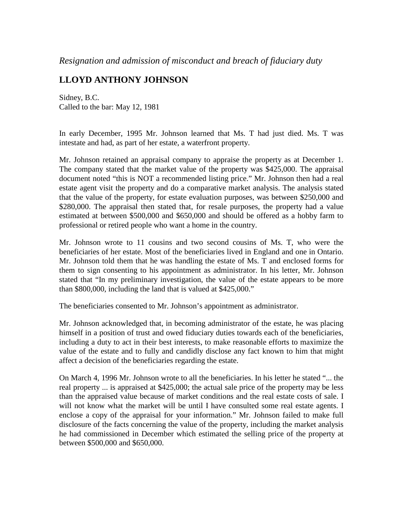## *Resignation and admission of misconduct and breach of fiduciary duty*

## **LLOYD ANTHONY JOHNSON**

Sidney, B.C. Called to the bar: May 12, 1981

In early December, 1995 Mr. Johnson learned that Ms. T had just died. Ms. T was intestate and had, as part of her estate, a waterfront property.

Mr. Johnson retained an appraisal company to appraise the property as at December 1. The company stated that the market value of the property was \$425,000. The appraisal document noted "this is NOT a recommended listing price." Mr. Johnson then had a real estate agent visit the property and do a comparative market analysis. The analysis stated that the value of the property, for estate evaluation purposes, was between \$250,000 and \$280,000. The appraisal then stated that, for resale purposes, the property had a value estimated at between \$500,000 and \$650,000 and should be offered as a hobby farm to professional or retired people who want a home in the country.

Mr. Johnson wrote to 11 cousins and two second cousins of Ms. T, who were the beneficiaries of her estate. Most of the beneficiaries lived in England and one in Ontario. Mr. Johnson told them that he was handling the estate of Ms. T and enclosed forms for them to sign consenting to his appointment as administrator. In his letter, Mr. Johnson stated that "In my preliminary investigation, the value of the estate appears to be more than \$800,000, including the land that is valued at \$425,000."

The beneficiaries consented to Mr. Johnson's appointment as administrator.

Mr. Johnson acknowledged that, in becoming administrator of the estate, he was placing himself in a position of trust and owed fiduciary duties towards each of the beneficiaries, including a duty to act in their best interests, to make reasonable efforts to maximize the value of the estate and to fully and candidly disclose any fact known to him that might affect a decision of the beneficiaries regarding the estate.

On March 4, 1996 Mr. Johnson wrote to all the beneficiaries. In his letter he stated "... the real property ... is appraised at \$425,000; the actual sale price of the property may be less than the appraised value because of market conditions and the real estate costs of sale. I will not know what the market will be until I have consulted some real estate agents. I enclose a copy of the appraisal for your information." Mr. Johnson failed to make full disclosure of the facts concerning the value of the property, including the market analysis he had commissioned in December which estimated the selling price of the property at between \$500,000 and \$650,000.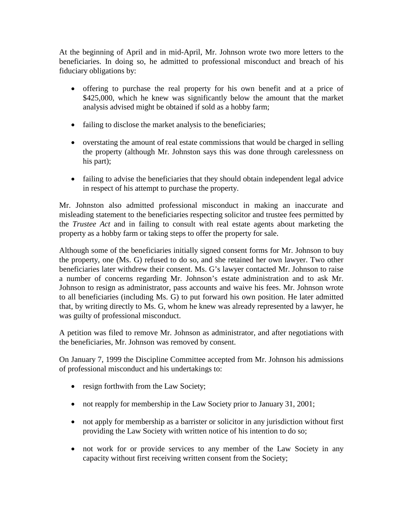At the beginning of April and in mid-April, Mr. Johnson wrote two more letters to the beneficiaries. In doing so, he admitted to professional misconduct and breach of his fiduciary obligations by:

- offering to purchase the real property for his own benefit and at a price of \$425,000, which he knew was significantly below the amount that the market analysis advised might be obtained if sold as a hobby farm;
- failing to disclose the market analysis to the beneficiaries;
- overstating the amount of real estate commissions that would be charged in selling the property (although Mr. Johnston says this was done through carelessness on his part);
- failing to advise the beneficiaries that they should obtain independent legal advice in respect of his attempt to purchase the property.

Mr. Johnston also admitted professional misconduct in making an inaccurate and misleading statement to the beneficiaries respecting solicitor and trustee fees permitted by the *Trustee Act* and in failing to consult with real estate agents about marketing the property as a hobby farm or taking steps to offer the property for sale.

Although some of the beneficiaries initially signed consent forms for Mr. Johnson to buy the property, one (Ms. G) refused to do so, and she retained her own lawyer. Two other beneficiaries later withdrew their consent. Ms. G's lawyer contacted Mr. Johnson to raise a number of concerns regarding Mr. Johnson's estate administration and to ask Mr. Johnson to resign as administrator, pass accounts and waive his fees. Mr. Johnson wrote to all beneficiaries (including Ms. G) to put forward his own position. He later admitted that, by writing directly to Ms. G, whom he knew was already represented by a lawyer, he was guilty of professional misconduct.

A petition was filed to remove Mr. Johnson as administrator, and after negotiations with the beneficiaries, Mr. Johnson was removed by consent.

On January 7, 1999 the Discipline Committee accepted from Mr. Johnson his admissions of professional misconduct and his undertakings to:

- resign forthwith from the Law Society;
- not reapply for membership in the Law Society prior to January 31, 2001;
- not apply for membership as a barrister or solicitor in any jurisdiction without first providing the Law Society with written notice of his intention to do so;
- not work for or provide services to any member of the Law Society in any capacity without first receiving written consent from the Society;